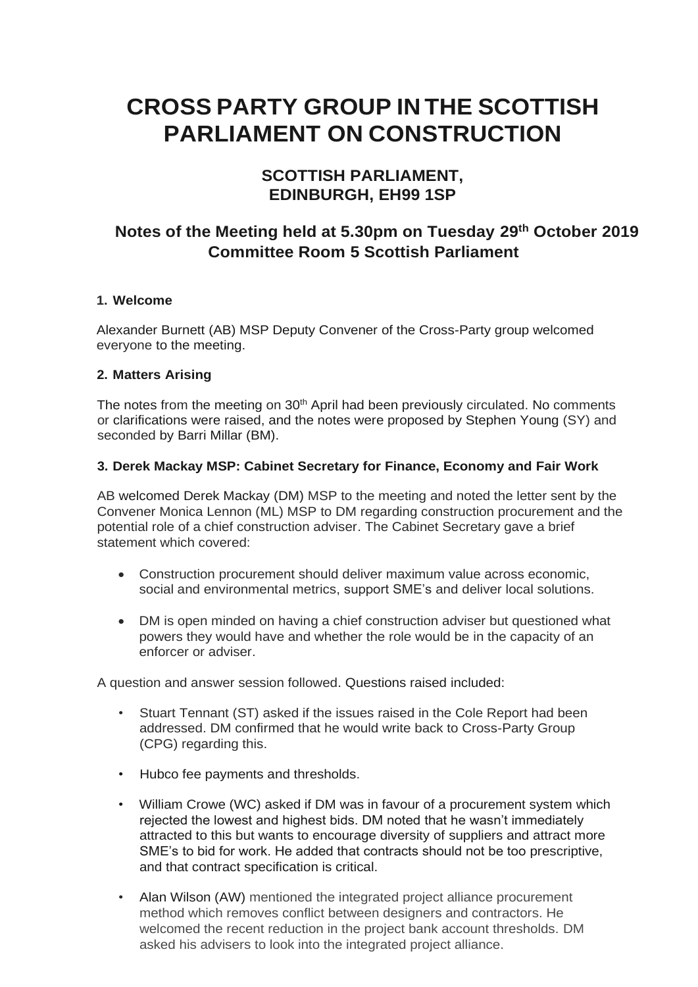# **CROSS PARTY GROUP IN THE SCOTTISH PARLIAMENT ON CONSTRUCTION**

# **SCOTTISH PARLIAMENT, EDINBURGH, EH99 1SP**

# **Notes of the Meeting held at 5.30pm on Tuesday 29th October 2019 Committee Room 5 Scottish Parliament**

### **1. Welcome**

Alexander Burnett (AB) MSP Deputy Convener of the Cross-Party group welcomed everyone to the meeting.

#### **2. Matters Arising**

The notes from the meeting on 30<sup>th</sup> April had been previously circulated. No comments or clarifications were raised, and the notes were proposed by Stephen Young (SY) and seconded by Barri Millar (BM).

### **3. Derek Mackay MSP: Cabinet Secretary for Finance, Economy and Fair Work**

AB welcomed Derek Mackay (DM) MSP to the meeting and noted the letter sent by the Convener Monica Lennon (ML) MSP to DM regarding construction procurement and the potential role of a chief construction adviser. The Cabinet Secretary gave a brief statement which covered:

- Construction procurement should deliver maximum value across economic, social and environmental metrics, support SME's and deliver local solutions.
- DM is open minded on having a chief construction adviser but questioned what powers they would have and whether the role would be in the capacity of an enforcer or adviser.

A question and answer session followed. Questions raised included:

- Stuart Tennant (ST) asked if the issues raised in the Cole Report had been addressed. DM confirmed that he would write back to Cross-Party Group (CPG) regarding this.
- Hubco fee payments and thresholds.
- William Crowe (WC) asked if DM was in favour of a procurement system which rejected the lowest and highest bids. DM noted that he wasn't immediately attracted to this but wants to encourage diversity of suppliers and attract more SME's to bid for work. He added that contracts should not be too prescriptive, and that contract specification is critical.
- Alan Wilson (AW) mentioned the integrated project alliance procurement method which removes conflict between designers and contractors. He welcomed the recent reduction in the project bank account thresholds. DM asked his advisers to look into the integrated project alliance.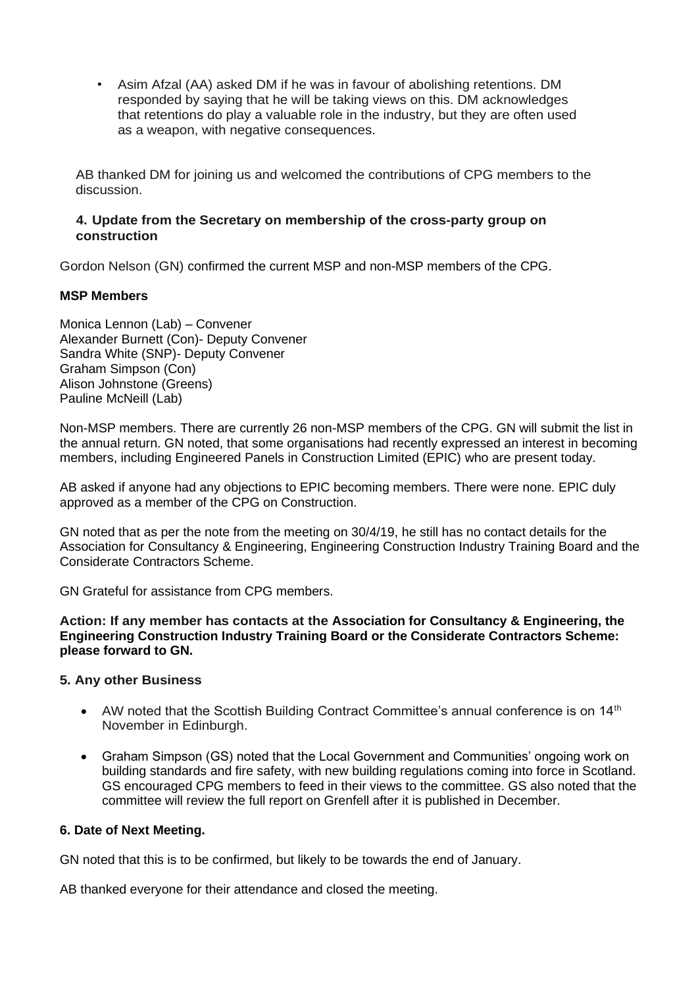• Asim Afzal (AA) asked DM if he was in favour of abolishing retentions. DM responded by saying that he will be taking views on this. DM acknowledges that retentions do play a valuable role in the industry, but they are often used as a weapon, with negative consequences.

AB thanked DM for joining us and welcomed the contributions of CPG members to the discussion.

## **4. Update from the Secretary on membership of the cross-party group on construction**

Gordon Nelson (GN) confirmed the current MSP and non-MSP members of the CPG.

# **MSP Members**

Monica Lennon (Lab) – Convener Alexander Burnett (Con)- Deputy Convener Sandra White (SNP)- Deputy Convener Graham Simpson (Con) Alison Johnstone (Greens) Pauline McNeill (Lab)

Non-MSP members. There are currently 26 non-MSP members of the CPG. GN will submit the list in the annual return. GN noted, that some organisations had recently expressed an interest in becoming members, including Engineered Panels in Construction Limited (EPIC) who are present today.

AB asked if anyone had any objections to EPIC becoming members. There were none. EPIC duly approved as a member of the CPG on Construction.

GN noted that as per the note from the meeting on 30/4/19, he still has no contact details for the Association for Consultancy & Engineering, Engineering Construction Industry Training Board and the Considerate Contractors Scheme.

GN Grateful for assistance from CPG members.

**Action: If any member has contacts at the Association for Consultancy & Engineering, the Engineering Construction Industry Training Board or the Considerate Contractors Scheme: please forward to GN.**

### **5. Any other Business**

- AW noted that the Scottish Building Contract Committee's annual conference is on  $14<sup>th</sup>$ November in Edinburgh.
- Graham Simpson (GS) noted that the Local Government and Communities' ongoing work on building standards and fire safety, with new building regulations coming into force in Scotland. GS encouraged CPG members to feed in their views to the committee. GS also noted that the committee will review the full report on Grenfell after it is published in December.

### **6. Date of Next Meeting.**

GN noted that this is to be confirmed, but likely to be towards the end of January.

AB thanked everyone for their attendance and closed the meeting.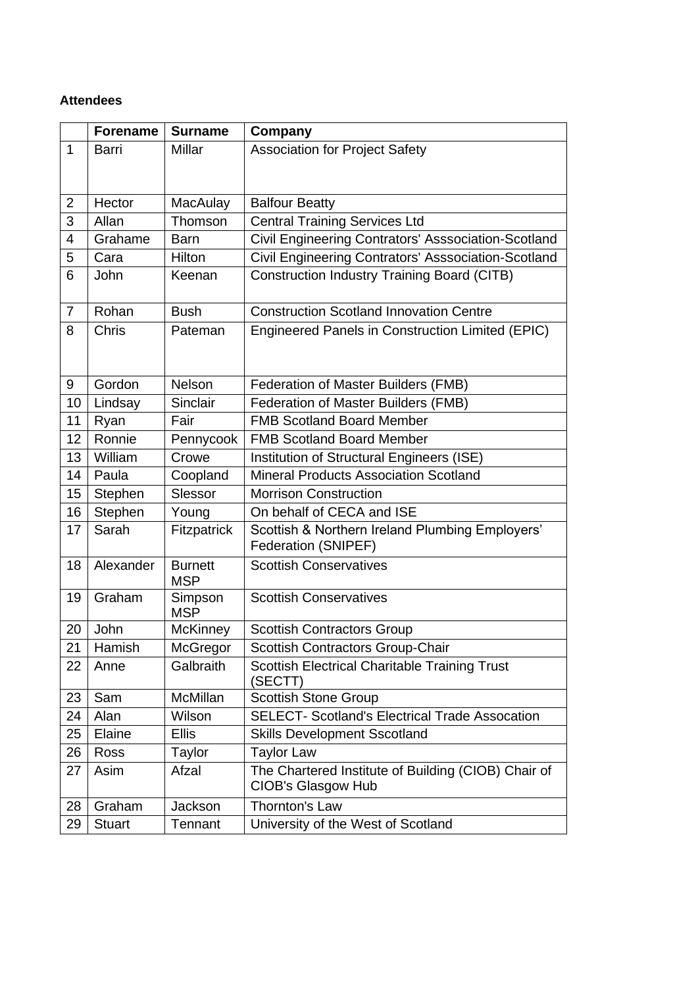# **Attendees**

|                | <b>Forename</b> | <b>Surname</b>               | Company                                                         |
|----------------|-----------------|------------------------------|-----------------------------------------------------------------|
| 1              | Barri           | <b>Millar</b>                | <b>Association for Project Safety</b>                           |
|                |                 |                              |                                                                 |
|                |                 |                              |                                                                 |
| $\overline{2}$ | Hector          | MacAulay                     | <b>Balfour Beatty</b>                                           |
| 3              | Allan           | Thomson                      | <b>Central Training Services Ltd</b>                            |
| 4              | Grahame         | <b>Barn</b>                  | Civil Engineering Contrators' Asssociation-Scotland             |
| 5              | Cara            | Hilton                       | Civil Engineering Contrators' Asssociation-Scotland             |
| 6              | John            | Keenan                       | <b>Construction Industry Training Board (CITB)</b>              |
| $\overline{7}$ | Rohan           | <b>Bush</b>                  | <b>Construction Scotland Innovation Centre</b>                  |
| 8              | <b>Chris</b>    | Pateman                      | <b>Engineered Panels in Construction Limited (EPIC)</b>         |
|                |                 |                              |                                                                 |
|                |                 |                              |                                                                 |
| 9              | Gordon          | Nelson                       | Federation of Master Builders (FMB)                             |
| 10             | Lindsay         | Sinclair                     | Federation of Master Builders (FMB)                             |
| 11             | Ryan            | Fair                         | <b>FMB Scotland Board Member</b>                                |
| 12             | Ronnie          | Pennycook                    | <b>FMB Scotland Board Member</b>                                |
| 13             | William         | Crowe                        | Institution of Structural Engineers (ISE)                       |
| 14             | Paula           | Coopland                     | <b>Mineral Products Association Scotland</b>                    |
| 15             | Stephen         | Slessor                      | <b>Morrison Construction</b>                                    |
| 16             | Stephen         | Young                        | On behalf of CECA and ISE                                       |
| 17             | Sarah           | Fitzpatrick                  | Scottish & Northern Ireland Plumbing Employers'                 |
|                |                 |                              | Federation (SNIPEF)                                             |
| 18             | Alexander       | <b>Burnett</b><br><b>MSP</b> | <b>Scottish Conservatives</b>                                   |
| 19             | Graham          | Simpson                      | <b>Scottish Conservatives</b>                                   |
|                |                 | <b>MSP</b>                   |                                                                 |
| 20             | John            | <b>McKinney</b>              | <b>Scottish Contractors Group</b>                               |
| 21             | Hamish          | McGregor                     | Scottish Contractors Group-Chair                                |
| 22             | Anne            | Galbraith                    | <b>Scottish Electrical Charitable Training Trust</b><br>(SECTT) |
| 23             | Sam             | McMillan                     | <b>Scottish Stone Group</b>                                     |
| 24             | Alan            | Wilson                       | <b>SELECT- Scotland's Electrical Trade Assocation</b>           |
| 25             | Elaine          | <b>Ellis</b>                 | <b>Skills Development Sscotland</b>                             |
| 26             | Ross            | Taylor                       | <b>Taylor Law</b>                                               |
| 27             | Asim            | Afzal                        | The Chartered Institute of Building (CIOB) Chair of             |
|                |                 |                              | CIOB's Glasgow Hub                                              |
| 28             | Graham          | Jackson                      | Thornton's Law                                                  |
| 29             | <b>Stuart</b>   | Tennant                      | University of the West of Scotland                              |